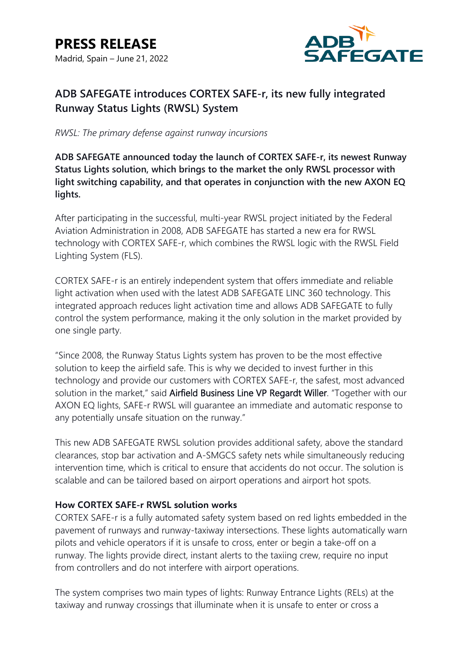

# **ADB SAFEGATE introduces CORTEX SAFE-r, its new fully integrated Runway Status Lights (RWSL) System**

*RWSL: The primary defense against runway incursions*

**ADB SAFEGATE announced today the launch of CORTEX SAFE-r, its newest Runway Status Lights solution, which brings to the market the only RWSL processor with light switching capability, and that operates in conjunction with the new AXON EQ lights.**

After participating in the successful, multi-year RWSL project initiated by the Federal Aviation Administration in 2008, ADB SAFEGATE has started a new era for RWSL technology with CORTEX SAFE-r, which combines the RWSL logic with the RWSL Field Lighting System (FLS).

CORTEX SAFE-r is an entirely independent system that offers immediate and reliable light activation when used with the latest ADB SAFEGATE LINC 360 technology. This integrated approach reduces light activation time and allows ADB SAFEGATE to fully control the system performance, making it the only solution in the market provided by one single party.

"Since 2008, the Runway Status Lights system has proven to be the most effective solution to keep the airfield safe. This is why we decided to invest further in this technology and provide our customers with CORTEX SAFE-r, the safest, most advanced solution in the market," said Airfield Business Line VP Regardt Willer. "Together with our AXON EQ lights, SAFE-r RWSL will guarantee an immediate and automatic response to any potentially unsafe situation on the runway."

This new ADB SAFEGATE RWSL solution provides additional safety, above the standard clearances, stop bar activation and A-SMGCS safety nets while simultaneously reducing intervention time, which is critical to ensure that accidents do not occur. The solution is scalable and can be tailored based on airport operations and airport hot spots.

# **How CORTEX SAFE-r RWSL solution works**

CORTEX SAFE-r is a fully automated safety system based on red lights embedded in the pavement of runways and runway-taxiway intersections. These lights automatically warn pilots and vehicle operators if it is unsafe to cross, enter or begin a take-off on a runway. The lights provide direct, instant alerts to the taxiing crew, require no input from controllers and do not interfere with airport operations.

The system comprises two main types of lights: Runway Entrance Lights (RELs) at the taxiway and runway crossings that illuminate when it is unsafe to enter or cross a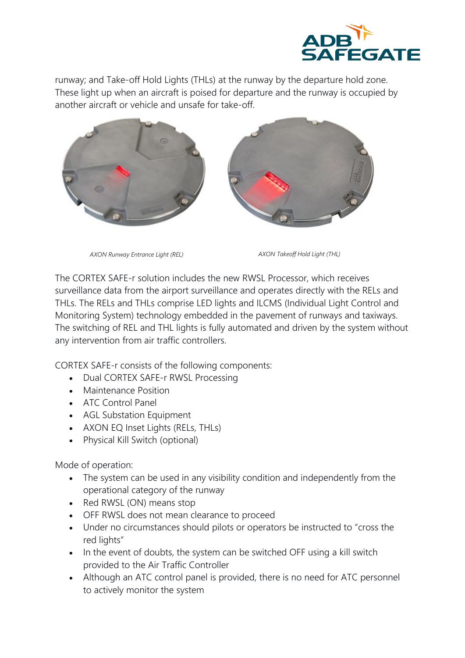

runway; and Take-off Hold Lights (THLs) at the runway by the departure hold zone. These light up when an aircraft is poised for departure and the runway is occupied by another aircraft or vehicle and unsafe for take-off.



*AXON Runway Entrance Light (REL) AXON Takeoff Hold Light (THL)*

The CORTEX SAFE-r solution includes the new RWSL Processor, which receives surveillance data from the airport surveillance and operates directly with the RELs and THLs. The RELs and THLs comprise LED lights and ILCMS (Individual Light Control and Monitoring System) technology embedded in the pavement of runways and taxiways. The switching of REL and THL lights is fully automated and driven by the system without any intervention from air traffic controllers.

CORTEX SAFE-r consists of the following components:

- Dual CORTEX SAFE-r RWSL Processing
- Maintenance Position
- ATC Control Panel
- AGL Substation Equipment
- AXON EQ Inset Lights (RELs, THLs)
- Physical Kill Switch (optional)

Mode of operation:

- The system can be used in any visibility condition and independently from the operational category of the runway
- Red RWSL (ON) means stop
- OFF RWSL does not mean clearance to proceed
- Under no circumstances should pilots or operators be instructed to "cross the red lights"
- In the event of doubts, the system can be switched OFF using a kill switch provided to the Air Traffic Controller
- Although an ATC control panel is provided, there is no need for ATC personnel to actively monitor the system